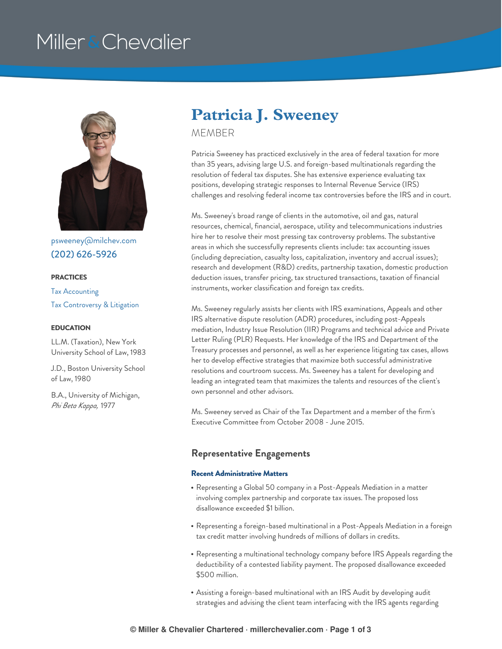# Miller & Chevalier



[psweeney@milchev.com](mailto:psweeney@milchev.com) (202) [626-5926](tel:202-626-5926)

#### **PRACTICES**

Tax [Accounting](https://www.millerchevalier.com/practice-area/tax-accounting) Tax [Controversy](https://www.millerchevalier.com/practice-area/tax-controversy-litigation) & Litigation

#### **EDUCATION**

LL.M. (Taxation), New York University School of Law, 1983

J.D., Boston University School of Law, 1980

B.A., University of Michigan, *Phi Beta Kappa,* 1977

# **Patricia J. Sweeney**

MEMBER

Patricia Sweeney has practiced exclusively in the area of federal taxation for more than 35 years, advising large U.S. and foreign-based multinationals regarding the resolution of federal tax disputes. She has extensive experience evaluating tax positions, developing strategic responses to Internal Revenue Service (IRS) challenges and resolving federal income tax controversies before the IRS and in court.

Ms. Sweeney's broad range of clients in the automotive, oil and gas, natural resources, chemical, financial, aerospace, utility and telecommunications industries hire her to resolve their most pressing tax controversy problems. The substantive areas in which she successfully represents clients include: tax accounting issues (including depreciation, casualty loss, capitalization, inventory and accrual issues); research and development (R&D) credits, partnership taxation, domestic production deduction issues, transfer pricing, tax structured transactions, taxation of financial instruments, worker classification and foreign tax credits.

Ms. Sweeney regularly assists her clients with IRS examinations, Appeals and other IRS alternative dispute resolution (ADR) procedures, including post-Appeals mediation, Industry Issue Resolution (IIR) Programs and technical advice and Private Letter Ruling (PLR) Requests. Her knowledge of the IRS and Department of the Treasury processes and personnel, as well as her experience litigating tax cases, allows her to develop effective strategies that maximize both successful administrative resolutions and courtroom success. Ms. Sweeney has a talent for developing and leading an integrated team that maximizes the talents and resources of the client's own personnel and other advisors.

Ms. Sweeney served as Chair of the Tax Department and a member of the firm's Executive Committee from October 2008 - June 2015.

## **Representative Engagements**

### **Recent Administrative Matters**

- Representing a Global 50 company in a Post-Appeals Mediation in a matter involving complex partnership and corporate tax issues. The proposed loss disallowance exceeded \$1 billion.
- Representing a foreign-based multinational in a Post-Appeals Mediation in a foreign tax credit matter involving hundreds of millions of dollars in credits.
- Representing a multinational technology company before IRS Appeals regarding the deductibility of a contested liability payment. The proposed disallowance exceeded \$500 million.
- Assisting a foreign-based multinational with an IRS Audit by developing audit strategies and advising the client team interfacing with the IRS agents regarding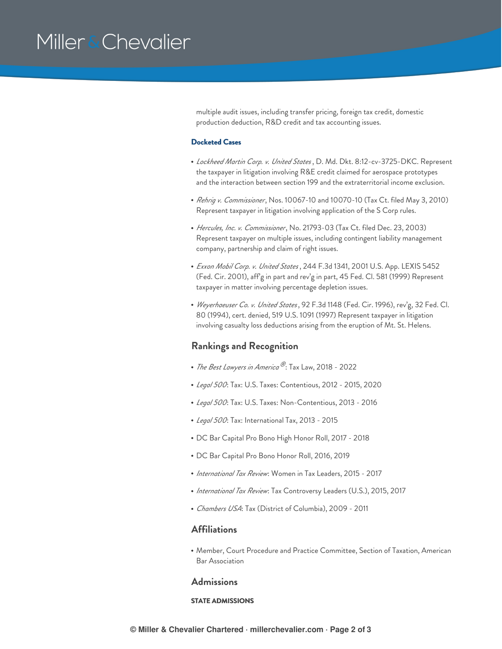# Miller & Chevalier

multiple audit issues, including transfer pricing, foreign tax credit, domestic production deduction, R&D credit and tax accounting issues.

#### **Docketed Cases**

- *Lockheed Martin Corp. v. United States* , D. Md. Dkt. 8:12-cv-3725-DKC. Represent the taxpayer in litigation involving R&E credit claimed for aerospace prototypes and the interaction between section 199 and the extraterritorial income exclusion.
- *Rehrig v. Commissioner*, Nos. 10067-10 and 10070-10 (Tax Ct. filed May 3, 2010) Represent taxpayer in litigation involving application of the S Corp rules.
- *Hercules, Inc. v. Commissioner*, No. 21793-03 (Tax Ct. filed Dec. 23, 2003) Represent taxpayer on multiple issues, including contingent liability management company, partnership and claim of right issues.
- *Exxon Mobil Corp. v. United States* , 244 F.3d 1341, 2001 U.S. App. LEXIS 5452 (Fed. Cir. 2001), aff'g in part and rev'g in part, 45 Fed. Cl. 581 (1999) Represent taxpayer in matter involving percentage depletion issues.
- *Weyerhaeuser Co. v. United States*, 92 F.3d 1148 (Fed. Cir. 1996), rev'g, 32 Fed. Cl. 80 (1994), cert. denied, 519 U.S. 1091 (1997) Represent taxpayer in litigation involving casualty loss deductions arising from the eruption of Mt. St. Helens.

# **Rankings and Recognition**

- *The Best Lawyers in America* : Tax Law, 2018 2022 *®*
- *Legal 500*: Tax: U.S. Taxes: Contentious, 2012 2015, 2020
- *Legal 500*: Tax: U.S. Taxes: Non-Contentious, 2013 2016
- *Legal 500*: Tax: International Tax, 2013 2015
- DC Bar Capital Pro Bono High Honor Roll, 2017 2018
- DC Bar Capital Pro Bono Honor Roll, 2016, 2019
- *International Tax Review*: Women in Tax Leaders, 2015 2017
- *International Tax Review*: Tax Controversy Leaders (U.S.), 2015, 2017
- *Chambers USA*: Tax (District of Columbia), 2009 2011

## **Affiliations**

Member, Court Procedure and Practice Committee, Section of Taxation, American Bar Association

### **Admissions**

#### **STATE ADMISSIONS**